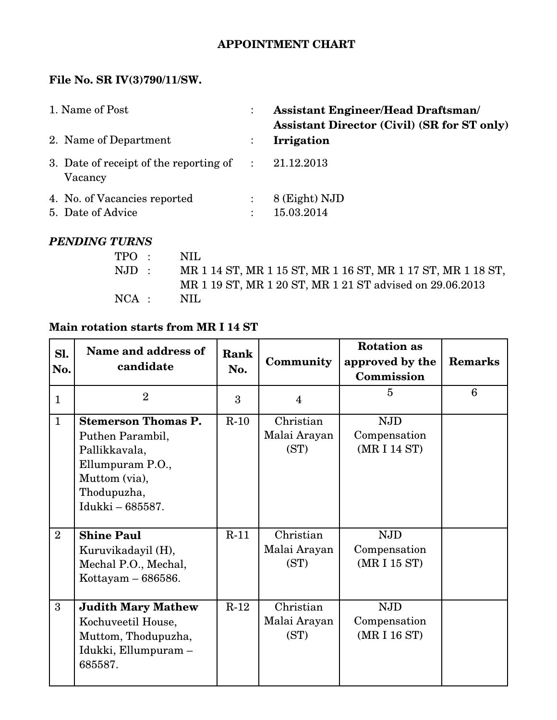## **APPOINTMENT CHART**

#### File No. SR IV(3)790/11/SW.

| 1. Name of Post |                                                                | <b>Assistant Engineer/Head Draftsman/</b><br><b>Assistant Director (Civil) (SR for ST only)</b> |  |
|-----------------|----------------------------------------------------------------|-------------------------------------------------------------------------------------------------|--|
|                 | 2. Name of Department                                          | Irrigation                                                                                      |  |
|                 | 3. Date of receipt of the reporting of $\therefore$<br>Vacancy | 21.12.2013                                                                                      |  |
|                 | 4. No. of Vacancies reported<br>5. Date of Advice              | 8 (Eight) NJD<br>15.03.2014                                                                     |  |

## *PENDING TURNS*

|                | TPO: NIL      |                                                             |
|----------------|---------------|-------------------------------------------------------------|
| $\text{NJD}$ : |               | MR 1 14 ST, MR 1 15 ST, MR 1 16 ST, MR 1 17 ST, MR 1 18 ST, |
|                |               | MR 1 19 ST, MR 1 20 ST, MR 1 21 ST advised on 29.06.2013    |
|                | $NCA$ : $NIL$ |                                                             |

## **Main rotation starts from MR I 14 ST**

| Sl.<br>No.     | Name and address of<br>candidate                                                                                                        | Rank<br>No. | Community                         | <b>Rotation as</b><br>approved by the<br>Commission | <b>Remarks</b> |
|----------------|-----------------------------------------------------------------------------------------------------------------------------------------|-------------|-----------------------------------|-----------------------------------------------------|----------------|
| $\mathbf{1}$   | $\overline{2}$                                                                                                                          | 3           | $\overline{4}$                    | $\overline{5}$                                      | 6              |
| $\mathbf{1}$   | <b>Stemerson Thomas P.</b><br>Puthen Parambil,<br>Pallikkavala,<br>Ellumpuram P.O.,<br>Muttom (via),<br>Thodupuzha,<br>Idukki - 685587. | $R-10$      | Christian<br>Malai Arayan<br>(ST) | <b>NJD</b><br>Compensation<br>(MR I 14 ST)          |                |
| $\overline{2}$ | <b>Shine Paul</b><br>Kuruvikadayil (H),<br>Mechal P.O., Mechal,<br>Kottayam - 686586.                                                   | $R-11$      | Christian<br>Malai Arayan<br>(ST) | <b>NJD</b><br>Compensation<br>(MR I 15 ST)          |                |
| 3              | <b>Judith Mary Mathew</b><br>Kochuveetil House,<br>Muttom, Thodupuzha,<br>Idukki, Ellumpuram –<br>685587.                               | $R-12$      | Christian<br>Malai Arayan<br>(ST) | <b>NJD</b><br>Compensation<br>(MR I 16 ST)          |                |